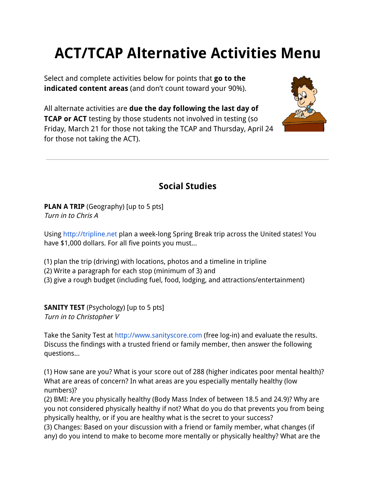# **ACT/TCAP Alternative Activities Menu**

Select and complete activities below for points that **go to the indicated content areas** (and don't count toward your 90%).

All alternate activities are **due the day following the last day of TCAP or ACT** testing by those students not involved in testing (so Friday, March 21 for those not taking the TCAP and Thursday, April 24 for those not taking the ACT).



# **Social Studies**

**PLAN A TRIP** (Geography) [up to 5 pts] Turn in to Chris A

Using [http://tripline.net](http://www.google.com/url?q=http%3A%2F%2Ftripline.net%2F&sa=D&sntz=1&usg=AFQjCNFJfib7ReU6EYOIxE8eB0r5T0863A) plan a week-long Spring Break trip across the United states! You have \$1,000 dollars. For all five points you must...

- (1) plan the trip (driving) with locations, photos and a timeline in tripline
- (2) Write a paragraph for each stop (minimum of 3) and
- (3) give a rough budget (including fuel, food, lodging, and attractions/entertainment)

**SANITY TEST** (Psychology) [up to 5 pts] Turn in to Christopher V

Take the Sanity Test at [http://www.sanityscore.com](http://www.google.com/url?q=http%3A%2F%2Fwww.sanityscore.com%2F&sa=D&sntz=1&usg=AFQjCNESKyztE0PVejRTlGMHW3lfWa3YRw) (free log-in) and evaluate the results. Discuss the findings with a trusted friend or family member, then answer the following questions...

(1) How sane are you? What is your score out of 288 (higher indicates poor mental health)? What are areas of concern? In what areas are you especially mentally healthy (low numbers)?

(2) BMI: Are you physically healthy (Body Mass Index of between 18.5 and 24.9)? Why are you not considered physically healthy if not? What do you do that prevents you from being physically healthy, or if you are healthy what is the secret to your success?

(3) Changes: Based on your discussion with a friend or family member, what changes (if any) do you intend to make to become more mentally or physically healthy? What are the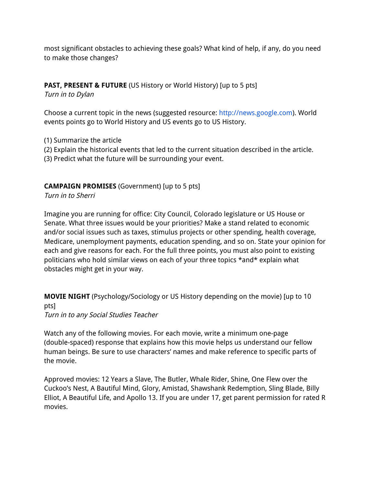most significant obstacles to achieving these goals? What kind of help, if any, do you need to make those changes?

## **PAST, PRESENT & FUTURE** (US History or World History) [up to 5 pts]

Turn in to Dylan

Choose a current topic in the news (suggested resource: [http://news.google.com\)](http://news.google.com/). World events points go to World History and US events go to US History.

- (1) Summarize the article
- (2) Explain the historical events that led to the current situation described in the article.
- (3) Predict what the future will be surrounding your event.

#### **CAMPAIGN PROMISES** (Government) [up to 5 pts]

Turn in to Sherri

Imagine you are running for office: City Council, Colorado legislature or US House or Senate. What three issues would be your priorities? Make a stand related to economic and/or social issues such as taxes, stimulus projects or other spending, health coverage, Medicare, unemployment payments, education spending, and so on. State your opinion for each and give reasons for each. For the full three points, you must also point to existing politicians who hold similar views on each of your three topics \*and\* explain what obstacles might get in your way.

**MOVIE NIGHT** (Psychology/Sociology or US History depending on the movie) [up to 10 pts] Turn in to any Social Studies Teacher

Watch any of the following movies. For each movie, write a minimum one-page (double-spaced) response that explains how this movie helps us understand our fellow human beings. Be sure to use characters' names and make reference to specific parts of the movie.

Approved movies: 12 Years a Slave, The Butler, Whale Rider, Shine, One Flew over the Cuckoo's Nest, A Bautiful Mind, Glory, Amistad, Shawshank Redemption, Sling Blade, Billy Elliot, A Beautiful Life, and Apollo 13. If you are under 17, get parent permission for rated R movies.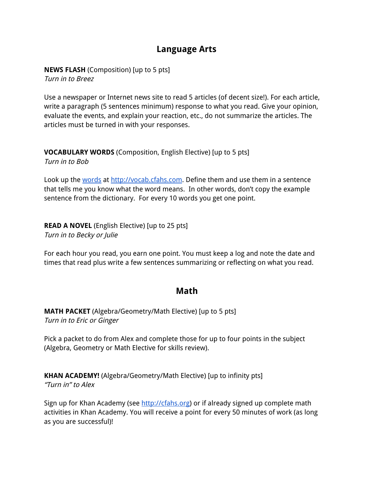## **Language Arts**

**NEWS FLASH** (Composition) [up to 5 pts] Turn in to Breez

Use a newspaper or Internet news site to read 5 articles (of decent size!). For each article, write a paragraph (5 sentences minimum) response to what you read. Give your opinion, evaluate the events, and explain your reaction, etc., do not summarize the articles. The articles must be turned in with your responses.

**VOCABULARY WORDS** (Composition, English Elective) [up to 5 pts] Turn in to Bob

Look up the [words](http://www.google.com/url?q=http%3A%2F%2Fvocab.cfahs.com&sa=D&sntz=1&usg=AFQjCNGlIzfiFXylyWFApOQN0DCkRJg9mg) at [http://vocab.cfahs.com.](http://www.google.com/url?q=http%3A%2F%2Fvocab.cfahs.com&sa=D&sntz=1&usg=AFQjCNGlIzfiFXylyWFApOQN0DCkRJg9mg) Define them and use them in a sentence that tells me you know what the word means. In other words, don't copy the example sentence from the dictionary. For every 10 words you get one point.

**READ A NOVEL** (English Elective) [up to 25 pts] Turn in to Becky or Julie

For each hour you read, you earn one point. You must keep a log and note the date and times that read plus write a few sentences summarizing or reflecting on what you read.

## **Math**

**MATH PACKET** (Algebra/Geometry/Math Elective) [up to 5 pts] Turn in to Eric or Ginger

Pick a packet to do from Alex and complete those for up to four points in the subject (Algebra, Geometry or Math Elective for skills review).

**KHAN ACADEMY!** (Algebra/Geometry/Math Elective) [up to infinity pts] "Turn in" to Alex

Sign up for Khan Academy (see [http://cfahs.org\)](http://www.google.com/url?q=http%3A%2F%2Fcfahs.org&sa=D&sntz=1&usg=AFQjCNEsO81rHdeB7WSCs0gVEBExuTWCpQ) or if already signed up complete math activities in Khan Academy. You will receive a point for every 50 minutes of work (as long as you are successful)!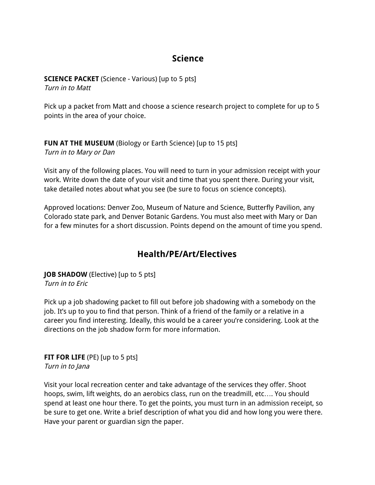## **Science**

**SCIENCE PACKET** (Science - Various) [up to 5 pts] Turn in to Matt

Pick up a packet from Matt and choose a science research project to complete for up to 5 points in the area of your choice.

#### **FUN AT THE MUSEUM** (Biology or Earth Science) [up to 15 pts] Turn in to Mary or Dan

Visit any of the following places. You will need to turn in your admission receipt with your work. Write down the date of your visit and time that you spent there. During your visit, take detailed notes about what you see (be sure to focus on science concepts).

Approved locations: Denver Zoo, Museum of Nature and Science, Butterfly Pavilion, any Colorado state park, and Denver Botanic Gardens. You must also meet with Mary or Dan for a few minutes for a short discussion. Points depend on the amount of time you spend.

## **Health/PE/Art/Electives**

**JOB SHADOW** (Elective) [up to 5 pts] Turn in to Eric

Pick up a job shadowing packet to fill out before job shadowing with a somebody on the job. It's up to you to find that person. Think of a friend of the family or a relative in a career you find interesting. Ideally, this would be a career you're considering. Look at the directions on the job shadow form for more information.

**FIT FOR LIFE** (PE) [up to 5 pts] Turn in to Jana

Visit your local recreation center and take advantage of the services they offer. Shoot hoops, swim, lift weights, do an aerobics class, run on the treadmill, etc…. You should spend at least one hour there. To get the points, you must turn in an admission receipt, so be sure to get one. Write a brief description of what you did and how long you were there. Have your parent or guardian sign the paper.